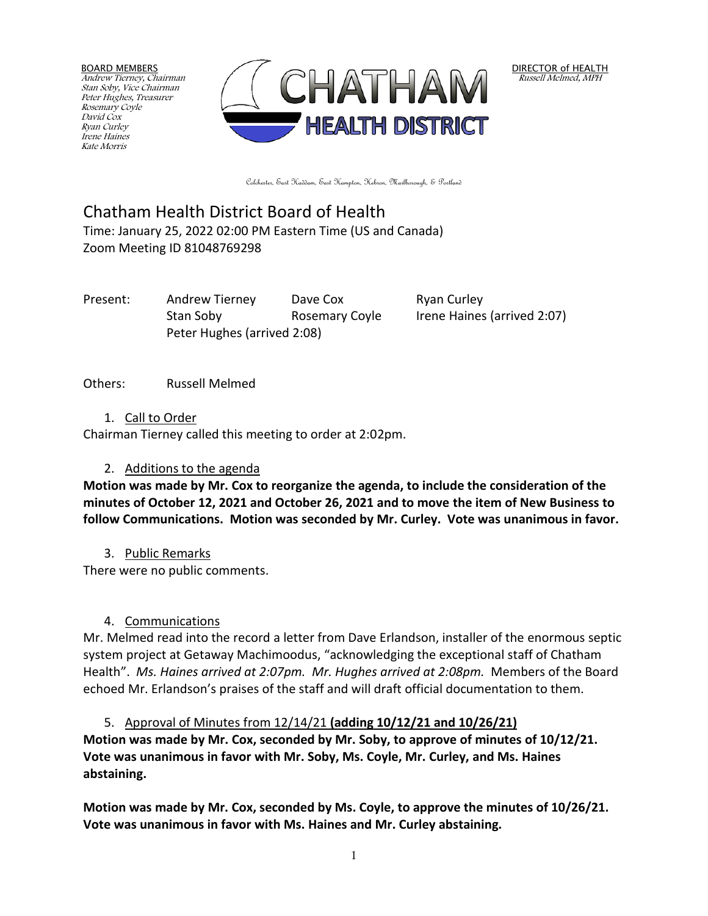BOARD MEMBERS Andrew Tierney, Chairman Stan Soby, Vice Chairman Peter Hughes, Treasurer Rosemary Coyle David Cox Ryan Curley Irene Haines Kate Morris



DIRECTOR of HEALTH Russell Melmed, MPH

Colchester, East Haddam, East Hampton, Hebron, Marlborough, & Portland

# Chatham Health District Board of Health

Time: January 25, 2022 02:00 PM Eastern Time (US and Canada) Zoom Meeting ID 81048769298

Present: Andrew Tierney Dave Cox Ryan Curley Stan Soby Rosemary Coyle Irene Haines (arrived 2:07) Peter Hughes (arrived 2:08)

Others: Russell Melmed

1. Call to Order

Chairman Tierney called this meeting to order at 2:02pm.

# 2. Additions to the agenda

**Motion was made by Mr. Cox to reorganize the agenda, to include the consideration of the minutes of October 12, 2021 and October 26, 2021 and to move the item of New Business to follow Communications. Motion was seconded by Mr. Curley. Vote was unanimous in favor.**

3. Public Remarks

There were no public comments.

# 4. Communications

Mr. Melmed read into the record a letter from Dave Erlandson, installer of the enormous septic system project at Getaway Machimoodus, "acknowledging the exceptional staff of Chatham Health". *Ms. Haines arrived at 2:07pm. Mr. Hughes arrived at 2:08pm.* Members of the Board echoed Mr. Erlandson's praises of the staff and will draft official documentation to them.

5. Approval of Minutes from 12/14/21 **(adding 10/12/21 and 10/26/21) Motion was made by Mr. Cox, seconded by Mr. Soby, to approve of minutes of 10/12/21. Vote was unanimous in favor with Mr. Soby, Ms. Coyle, Mr. Curley, and Ms. Haines abstaining.**

**Motion was made by Mr. Cox, seconded by Ms. Coyle, to approve the minutes of 10/26/21. Vote was unanimous in favor with Ms. Haines and Mr. Curley abstaining.**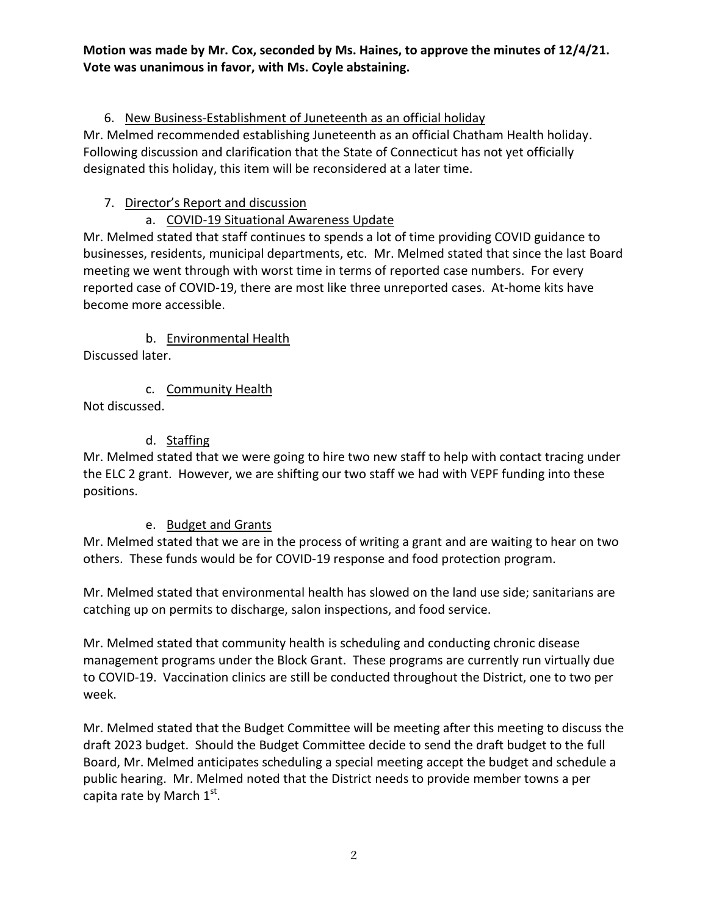#### **Motion was made by Mr. Cox, seconded by Ms. Haines, to approve the minutes of 12/4/21. Vote was unanimous in favor, with Ms. Coyle abstaining.**

# 6. New Business-Establishment of Juneteenth as an official holiday

Mr. Melmed recommended establishing Juneteenth as an official Chatham Health holiday. Following discussion and clarification that the State of Connecticut has not yet officially designated this holiday, this item will be reconsidered at a later time.

# 7. Director's Report and discussion

# a. COVID-19 Situational Awareness Update

Mr. Melmed stated that staff continues to spends a lot of time providing COVID guidance to businesses, residents, municipal departments, etc. Mr. Melmed stated that since the last Board meeting we went through with worst time in terms of reported case numbers. For every reported case of COVID-19, there are most like three unreported cases. At-home kits have become more accessible.

b. Environmental Health Discussed later.

c. Community Health Not discussed.

# d. Staffing

Mr. Melmed stated that we were going to hire two new staff to help with contact tracing under the ELC 2 grant. However, we are shifting our two staff we had with VEPF funding into these positions.

# e. Budget and Grants

Mr. Melmed stated that we are in the process of writing a grant and are waiting to hear on two others. These funds would be for COVID-19 response and food protection program.

Mr. Melmed stated that environmental health has slowed on the land use side; sanitarians are catching up on permits to discharge, salon inspections, and food service.

Mr. Melmed stated that community health is scheduling and conducting chronic disease management programs under the Block Grant. These programs are currently run virtually due to COVID-19. Vaccination clinics are still be conducted throughout the District, one to two per week.

Mr. Melmed stated that the Budget Committee will be meeting after this meeting to discuss the draft 2023 budget. Should the Budget Committee decide to send the draft budget to the full Board, Mr. Melmed anticipates scheduling a special meeting accept the budget and schedule a public hearing. Mr. Melmed noted that the District needs to provide member towns a per capita rate by March  $1^\text{st}$ .